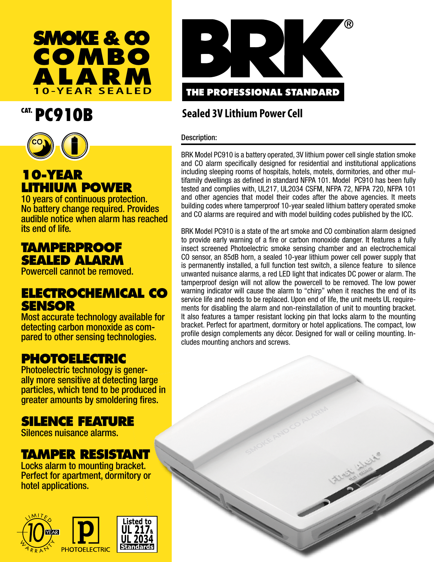

## CAT. PC910B



## **10-YEAR LITHIUM POWER**

10 years of continuous protection. No battery change required. Provides audible notice when alarm has reached its end of life.

### **TAMPERPROOF SEALED ALARM**

Powercell cannot be removed.

#### **ELECTROCHEMICAL CO SENSOR**

Most accurate technology available for<br>detecting carbon monoxide as compared to other sensing technologies.

# **PHOTOELECTRIC**<br>Photoelectric technology is gener-

ally more sensitive at detecting large particles, which tend to be produced in greater amounts by smoldering fires.

## **SILENCE FEATURE**

Silences nuisance alarms.

#### **TAMPER RESISTANT**

Locks alarm to mounting bracket. Perfect for apartment, dormitory or hotel applications.





#### **Sealed 3V Lithium Power Cell**

#### Description:

BRK Model PC910 is a battery operated, 3V lithium power cell single station smoke and CO alarm specifically designed for residential and institutional applications including sleeping rooms of hospitals, hotels, motels, dormitories, and other multifamily dwellings as defined in standard NFPA 101. Model PC910 has been fully tested and complies with, UL217, UL2034 CSFM, NFPA 72, NFPA 720, NFPA 101 and other agencies that model their codes after the above agencies. It meets building codes where tamperproof 10-year sealed lithium battery operated smoke and CO alarms are required and with model building codes published by the ICC.

BRK Model PC910 is a state of the art smoke and CO combination alarm designed to provide early warning of a fire or carbon monoxide danger. It features a fully insect screened Photoelectric smoke sensing chamber and an electrochemical CO sensor, an 85dB horn, a sealed 10-year lithium power cell power supply that is permanently installed, a full function test switch, a silence feature to silence unwanted nuisance alarms, a red LED light that indicates DC power or alarm. The tamperproof design will not allow the powercell to be removed. The low power warning indicator will cause the alarm to "chirp" when it reaches the end of its service life and needs to be replaced. Upon end of life, the unit meets UL requirements for disabling the alarm and non-reinstallation of unit to mounting bracket. It also features a tamper resistant locking pin that locks alarm to the mounting bracket. Perfect for apartment, dormitory or hotel applications. The compact, low profile design complements any décor. Designed for wall or ceiling mounting. Includes mounting anchors and screws.